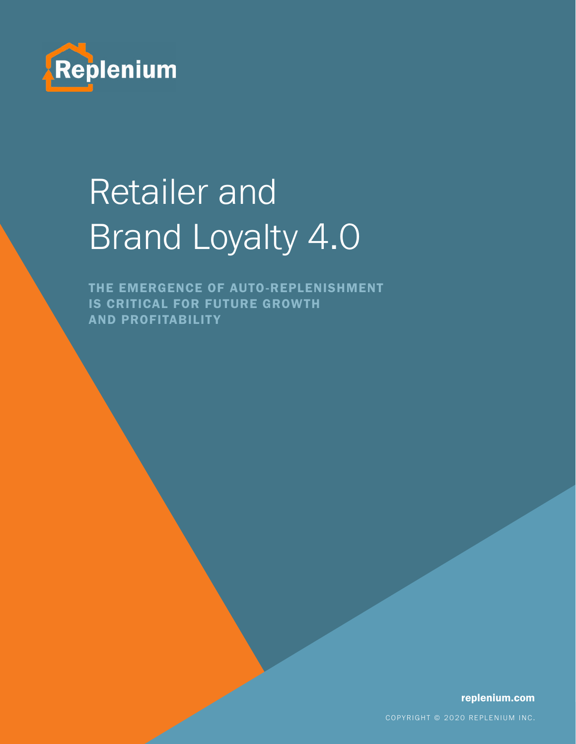

# Retailer and Brand Loyalty 4.0

THE EMERGENCE OF AUTO-REPLENISHMENT IS CRITICAL FOR FUTURE GROWTH **AND PROFITABILITY** 

replenium.com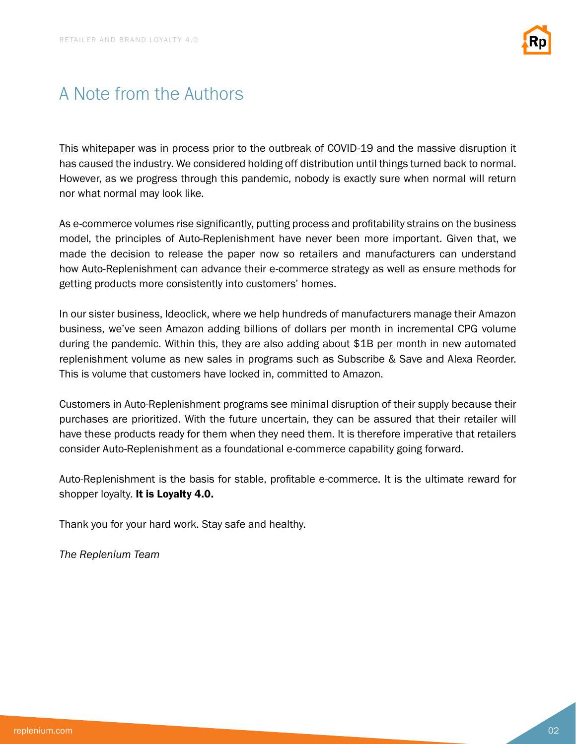

### A Note from the Authors

This whitepaper was in process prior to the outbreak of COVID-19 and the massive disruption it has caused the industry. We considered holding off distribution until things turned back to normal. However, as we progress through this pandemic, nobody is exactly sure when normal will return nor what normal may look like.

As e-commerce volumes rise significantly, putting process and profitability strains on the business model, the principles of Auto-Replenishment have never been more important. Given that, we made the decision to release the paper now so retailers and manufacturers can understand how Auto-Replenishment can advance their e-commerce strategy as well as ensure methods for getting products more consistently into customers' homes.

In our sister business, Ideoclick, where we help hundreds of manufacturers manage their Amazon business, we've seen Amazon adding billions of dollars per month in incremental CPG volume during the pandemic. Within this, they are also adding about \$1B per month in new automated replenishment volume as new sales in programs such as Subscribe & Save and Alexa Reorder. This is volume that customers have locked in, committed to Amazon.

Customers in Auto-Replenishment programs see minimal disruption of their supply because their purchases are prioritized. With the future uncertain, they can be assured that their retailer will have these products ready for them when they need them. It is therefore imperative that retailers consider Auto-Replenishment as a foundational e-commerce capability going forward.

Auto-Replenishment is the basis for stable, profitable e-commerce. It is the ultimate reward for shopper loyalty. It is Loyalty 4.0.

Thank you for your hard work. Stay safe and healthy.

*The Replenium Team*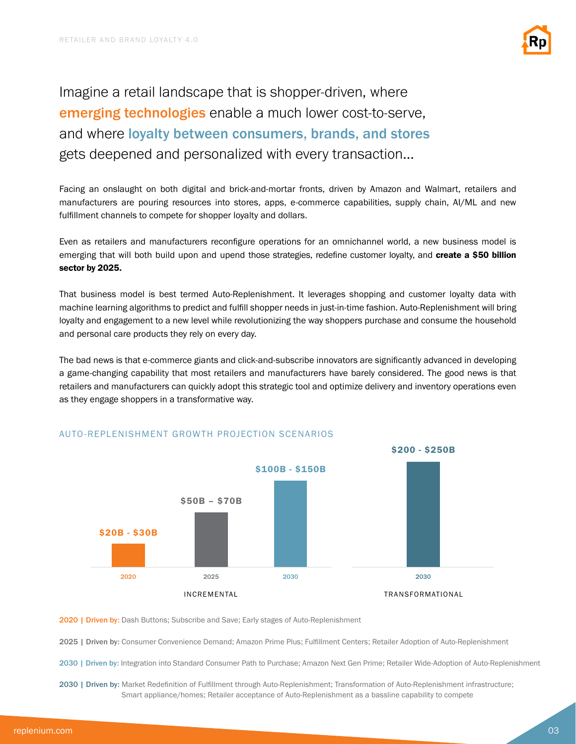

Imagine a retail landscape that is shopper-driven, where emerging technologies enable a much lower cost-to-serve, and where loyalty between consumers, brands, and stores gets deepened and personalized with every transaction…

Facing an onslaught on both digital and brick-and-mortar fronts, driven by Amazon and Walmart, retailers and manufacturers are pouring resources into stores, apps, e-commerce capabilities, supply chain, AI/ML and new fulfillment channels to compete for shopper loyalty and dollars.

Even as retailers and manufacturers reconfigure operations for an omnichannel world, a new business model is emerging that will both build upon and upend those strategies, redefine customer loyalty, and create a \$50 billion sector by 2025.

That business model is best termed Auto-Replenishment. It leverages shopping and customer loyalty data with machine learning algorithms to predict and fulfill shopper needs in just-in-time fashion. Auto-Replenishment will bring loyalty and engagement to a new level while revolutionizing the way shoppers purchase and consume the household and personal care products they rely on every day.

The bad news is that e-commerce giants and click-and-subscribe innovators are significantly advanced in developing a game-changing capability that most retailers and manufacturers have barely considered. The good news is that retailers and manufacturers can quickly adopt this strategic tool and optimize delivery and inventory operations even as they engage shoppers in a transformative way.



### AUTO-REPLENISHMENT GROWTH PROJECTION SCENARIOS

2020 | Driven by: Dash Buttons; Subscribe and Save; Early stages of Auto-Replenishment

2025 | Driven by: Consumer Convenience Demand; Amazon Prime Plus; Fulfillment Centers; Retailer Adoption of Auto-Replenishment

2030 | Driven by: Integration into Standard Consumer Path to Purchase; Amazon Next Gen Prime; Retailer Wide-Adoption of Auto-Replenishment

2030 | Driven by: Market Redefinition of Fulfillment through Auto-Replenishment; Transformation of Auto-Replenishment infrastructure; Smart appliance/homes; Retailer acceptance of Auto-Replenishment as a bassline capability to compete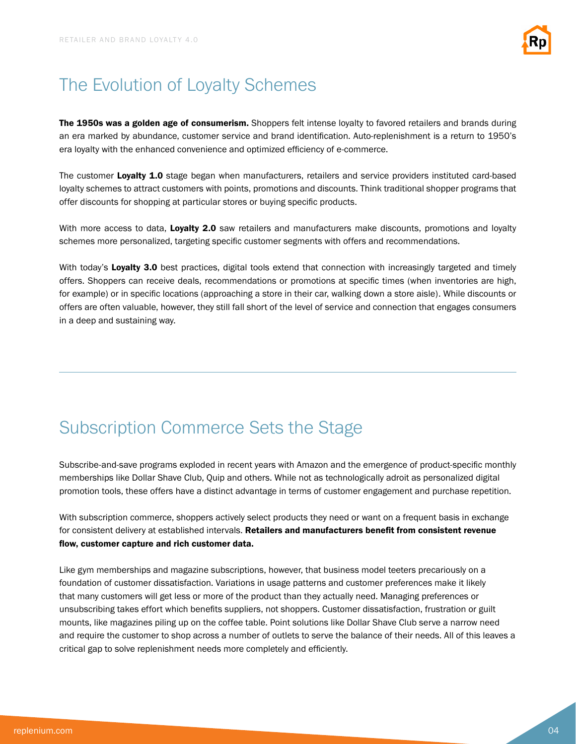

# The Evolution of Loyalty Schemes

The 1950s was a golden age of consumerism. Shoppers felt intense loyalty to favored retailers and brands during an era marked by abundance, customer service and brand identification. Auto-replenishment is a return to 1950's era loyalty with the enhanced convenience and optimized efficiency of e-commerce.

The customer Loyalty 1.0 stage began when manufacturers, retailers and service providers instituted card-based loyalty schemes to attract customers with points, promotions and discounts. Think traditional shopper programs that offer discounts for shopping at particular stores or buying specific products.

With more access to data, Loyalty 2.0 saw retailers and manufacturers make discounts, promotions and loyalty schemes more personalized, targeting specific customer segments with offers and recommendations.

With today's Loyalty 3.0 best practices, digital tools extend that connection with increasingly targeted and timely offers. Shoppers can receive deals, recommendations or promotions at specific times (when inventories are high, for example) or in specific locations (approaching a store in their car, walking down a store aisle). While discounts or offers are often valuable, however, they still fall short of the level of service and connection that engages consumers in a deep and sustaining way.

# Subscription Commerce Sets the Stage

Subscribe-and-save programs exploded in recent years with Amazon and the emergence of product-specific monthly memberships like Dollar Shave Club, Quip and others. While not as technologically adroit as personalized digital promotion tools, these offers have a distinct advantage in terms of customer engagement and purchase repetition.

With subscription commerce, shoppers actively select products they need or want on a frequent basis in exchange for consistent delivery at established intervals. Retailers and manufacturers benefit from consistent revenue flow, customer capture and rich customer data.

Like gym memberships and magazine subscriptions, however, that business model teeters precariously on a foundation of customer dissatisfaction. Variations in usage patterns and customer preferences make it likely that many customers will get less or more of the product than they actually need. Managing preferences or unsubscribing takes effort which benefits suppliers, not shoppers. Customer dissatisfaction, frustration or guilt mounts, like magazines piling up on the coffee table. Point solutions like Dollar Shave Club serve a narrow need and require the customer to shop across a number of outlets to serve the balance of their needs. All of this leaves a critical gap to solve replenishment needs more completely and efficiently.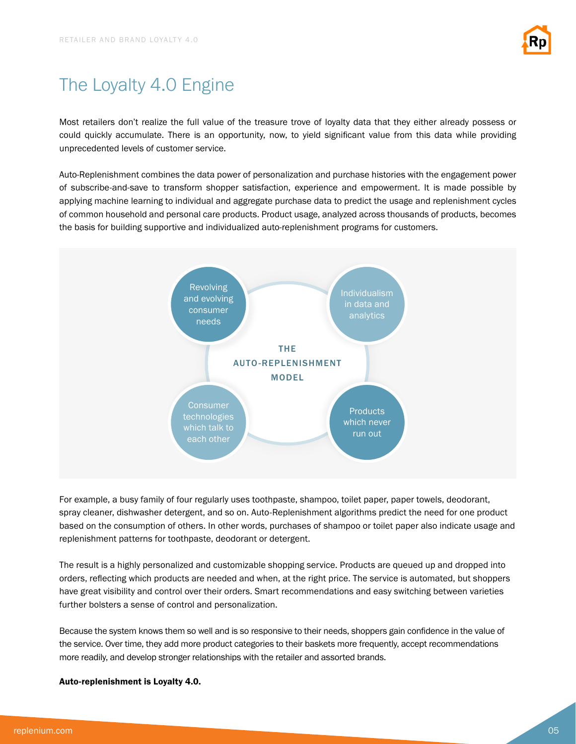

# The Loyalty 4.0 Engine

Most retailers don't realize the full value of the treasure trove of loyalty data that they either already possess or could quickly accumulate. There is an opportunity, now, to yield significant value from this data while providing unprecedented levels of customer service.

Auto-Replenishment combines the data power of personalization and purchase histories with the engagement power of subscribe-and-save to transform shopper satisfaction, experience and empowerment. It is made possible by applying machine learning to individual and aggregate purchase data to predict the usage and replenishment cycles of common household and personal care products. Product usage, analyzed across thousands of products, becomes the basis for building supportive and individualized auto-replenishment programs for customers.



For example, a busy family of four regularly uses toothpaste, shampoo, toilet paper, paper towels, deodorant, spray cleaner, dishwasher detergent, and so on. Auto-Replenishment algorithms predict the need for one product based on the consumption of others. In other words, purchases of shampoo or toilet paper also indicate usage and replenishment patterns for toothpaste, deodorant or detergent.

The result is a highly personalized and customizable shopping service. Products are queued up and dropped into orders, reflecting which products are needed and when, at the right price. The service is automated, but shoppers have great visibility and control over their orders. Smart recommendations and easy switching between varieties further bolsters a sense of control and personalization.

Because the system knows them so well and is so responsive to their needs, shoppers gain confidence in the value of the service. Over time, they add more product categories to their baskets more frequently, accept recommendations more readily, and develop stronger relationships with the retailer and assorted brands.

#### Auto-replenishment is Loyalty 4.0.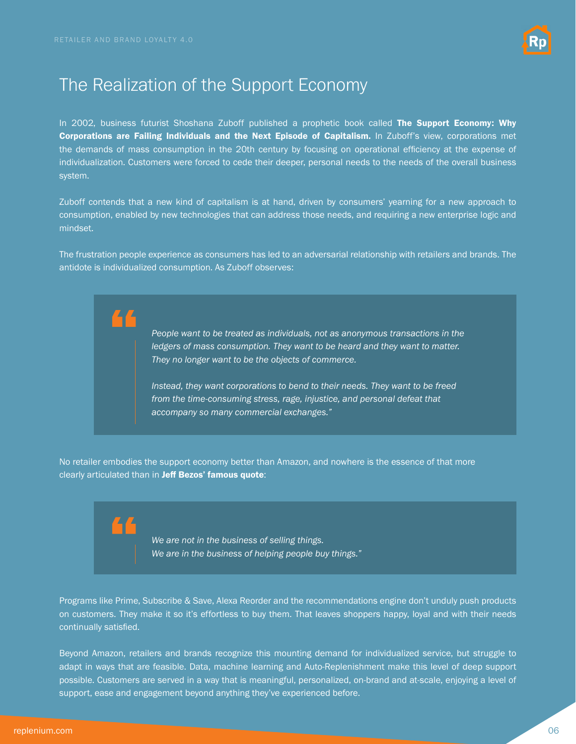

### The Realization of the Support Economy

In 2002, business futurist Shoshana Zuboff published a prophetic book called The Support Economy: Why Corporations are Failing Individuals and the Next Episode of Capitalism. In Zuboff's view, corporations met the demands of mass consumption in the 20th century by focusing on operational efficiency at the expense of individualization. Customers were forced to cede their deeper, personal needs to the needs of the overall business system.

Zuboff contends that a new kind of capitalism is at hand, driven by consumers' yearning for a new approach to consumption, enabled by new technologies that can address those needs, and requiring a new enterprise logic and mindset.

The frustration people experience as consumers has led to an adversarial relationship with retailers and brands. The antidote is individualized consumption. As Zuboff observes:

> *People want to be treated as individuals, not as anonymous transactions in the*  ledgers of mass consumption. They want to be heard and they want to matter. *They no longer want to be the objects of commerce.*

*Instead, they want corporations to bend to their needs. They want to be freed from the time-consuming stress, rage, injustice, and personal defeat that accompany so many commercial exchanges."*

No retailer embodies the support economy better than Amazon, and nowhere is the essence of that more clearly articulated than in Jeff Bezos' famous quote:

> *We are not in the business of selling things. We are in the business of helping people buy things."*

Programs like Prime, Subscribe & Save, Alexa Reorder and the recommendations engine don't unduly push products on customers. They make it so it's effortless to buy them. That leaves shoppers happy, loyal and with their needs continually satisfied.

Beyond Amazon, retailers and brands recognize this mounting demand for individualized service, but struggle to adapt in ways that are feasible. Data, machine learning and Auto-Replenishment make this level of deep support possible. Customers are served in a way that is meaningful, personalized, on-brand and at-scale, enjoying a level of support, ease and engagement beyond anything they've experienced before.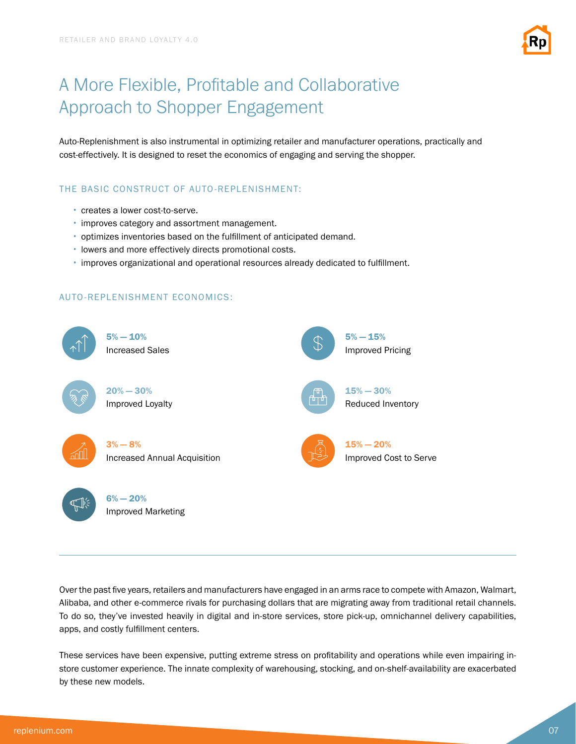

# A More Flexible, Profitable and Collaborative Approach to Shopper Engagement

Auto-Replenishment is also instrumental in optimizing retailer and manufacturer operations, practically and cost-effectively. It is designed to reset the economics of engaging and serving the shopper.

### THE BASIC CONSTRUCT OF AUTO-REPLENISHMENT:

- creates a lower cost-to-serve.
- improves category and assortment management.
- optimizes inventories based on the fulfillment of anticipated demand.
- lowers and more effectively directs promotional costs.
- improves organizational and operational resources already dedicated to fulfillment.

### AUTO-REPLENISHMENT ECONOMICS:



Over the past five years, retailers and manufacturers have engaged in an arms race to compete with Amazon, Walmart, Alibaba, and other e-commerce rivals for purchasing dollars that are migrating away from traditional retail channels. To do so, they've invested heavily in digital and in-store services, store pick-up, omnichannel delivery capabilities, apps, and costly fulfillment centers.

These services have been expensive, putting extreme stress on profitability and operations while even impairing instore customer experience. The innate complexity of warehousing, stocking, and on-shelf-availability are exacerbated by these new models.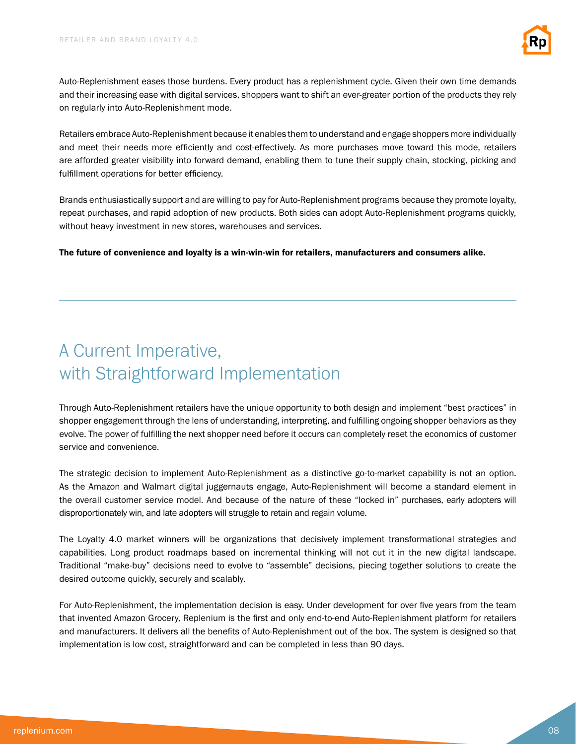

Auto-Replenishment eases those burdens. Every product has a replenishment cycle. Given their own time demands and their increasing ease with digital services, shoppers want to shift an ever-greater portion of the products they rely on regularly into Auto-Replenishment mode.

Retailers embrace Auto-Replenishment because it enables them to understand and engage shoppers more individually and meet their needs more efficiently and cost-effectively. As more purchases move toward this mode, retailers are afforded greater visibility into forward demand, enabling them to tune their supply chain, stocking, picking and fulfillment operations for better efficiency.

Brands enthusiastically support and are willing to pay for Auto-Replenishment programs because they promote loyalty, repeat purchases, and rapid adoption of new products. Both sides can adopt Auto-Replenishment programs quickly, without heavy investment in new stores, warehouses and services.

The future of convenience and loyalty is a win-win-win for retailers, manufacturers and consumers alike.

# A Current Imperative, with Straightforward Implementation

Through Auto-Replenishment retailers have the unique opportunity to both design and implement "best practices" in shopper engagement through the lens of understanding, interpreting, and fulfilling ongoing shopper behaviors as they evolve. The power of fulfilling the next shopper need before it occurs can completely reset the economics of customer service and convenience.

The strategic decision to implement Auto-Replenishment as a distinctive go-to-market capability is not an option. As the Amazon and Walmart digital juggernauts engage, Auto-Replenishment will become a standard element in the overall customer service model. And because of the nature of these "locked in" purchases, early adopters will disproportionately win, and late adopters will struggle to retain and regain volume.

The Loyalty 4.0 market winners will be organizations that decisively implement transformational strategies and capabilities. Long product roadmaps based on incremental thinking will not cut it in the new digital landscape. Traditional "make-buy" decisions need to evolve to "assemble" decisions, piecing together solutions to create the desired outcome quickly, securely and scalably.

For Auto-Replenishment, the implementation decision is easy. Under development for over five years from the team that invented Amazon Grocery, Replenium is the first and only end-to-end Auto-Replenishment platform for retailers and manufacturers. It delivers all the benefits of Auto-Replenishment out of the box. The system is designed so that implementation is low cost, straightforward and can be completed in less than 90 days.